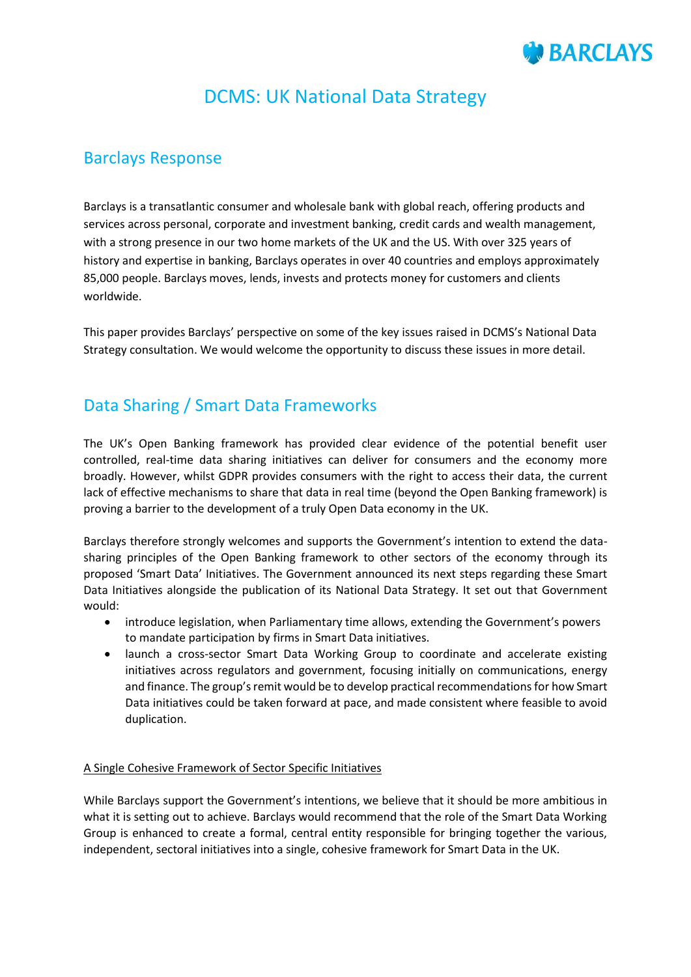

# DCMS: UK National Data Strategy

### Barclays Response

Barclays is a transatlantic consumer and wholesale bank with global reach, offering products and services across personal, corporate and investment banking, credit cards and wealth management, with a strong presence in our two home markets of the UK and the US. With over 325 years of history and expertise in banking, Barclays operates in over 40 countries and employs approximately 85,000 people. Barclays moves, lends, invests and protects money for customers and clients worldwide.

This paper provides Barclays' perspective on some of the key issues raised in DCMS's National Data Strategy consultation. We would welcome the opportunity to discuss these issues in more detail.

# Data Sharing / Smart Data Frameworks

The UK's Open Banking framework has provided clear evidence of the potential benefit user controlled, real-time data sharing initiatives can deliver for consumers and the economy more broadly. However, whilst GDPR provides consumers with the right to access their data, the current lack of effective mechanisms to share that data in real time (beyond the Open Banking framework) is proving a barrier to the development of a truly Open Data economy in the UK.

Barclays therefore strongly welcomes and supports the Government's intention to extend the datasharing principles of the Open Banking framework to other sectors of the economy through its proposed 'Smart Data' Initiatives. The Government announced its next steps regarding these Smart Data Initiatives alongside the publication of its National Data Strategy. It set out that Government would:

- introduce legislation, when Parliamentary time allows, extending the Government's powers to mandate participation by firms in Smart Data initiatives.
- launch a cross-sector Smart Data Working Group to coordinate and accelerate existing initiatives across regulators and government, focusing initially on communications, energy and finance. The group's remit would be to develop practical recommendations for how Smart Data initiatives could be taken forward at pace, and made consistent where feasible to avoid duplication.

### A Single Cohesive Framework of Sector Specific Initiatives

While Barclays support the Government's intentions, we believe that it should be more ambitious in what it is setting out to achieve. Barclays would recommend that the role of the Smart Data Working Group is enhanced to create a formal, central entity responsible for bringing together the various, independent, sectoral initiatives into a single, cohesive framework for Smart Data in the UK.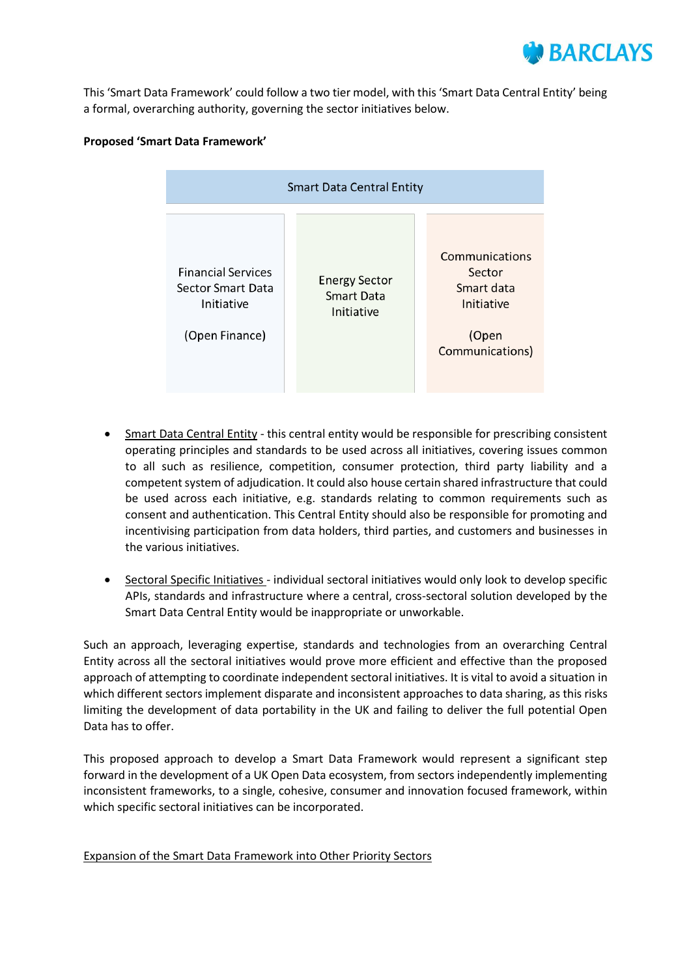

This 'Smart Data Framework' could follow a two tier model, with this 'Smart Data Central Entity' being a formal, overarching authority, governing the sector initiatives below.

### **Proposed 'Smart Data Framework'**



- Smart Data Central Entity this central entity would be responsible for prescribing consistent operating principles and standards to be used across all initiatives, covering issues common to all such as resilience, competition, consumer protection, third party liability and a competent system of adjudication. It could also house certain shared infrastructure that could be used across each initiative, e.g. standards relating to common requirements such as consent and authentication. This Central Entity should also be responsible for promoting and incentivising participation from data holders, third parties, and customers and businesses in the various initiatives.
- Sectoral Specific Initiatives individual sectoral initiatives would only look to develop specific APIs, standards and infrastructure where a central, cross-sectoral solution developed by the Smart Data Central Entity would be inappropriate or unworkable.

Such an approach, leveraging expertise, standards and technologies from an overarching Central Entity across all the sectoral initiatives would prove more efficient and effective than the proposed approach of attempting to coordinate independent sectoral initiatives. It is vital to avoid a situation in which different sectors implement disparate and inconsistent approaches to data sharing, as this risks limiting the development of data portability in the UK and failing to deliver the full potential Open Data has to offer.

This proposed approach to develop a Smart Data Framework would represent a significant step forward in the development of a UK Open Data ecosystem, from sectors independently implementing inconsistent frameworks, to a single, cohesive, consumer and innovation focused framework, within which specific sectoral initiatives can be incorporated.

Expansion of the Smart Data Framework into Other Priority Sectors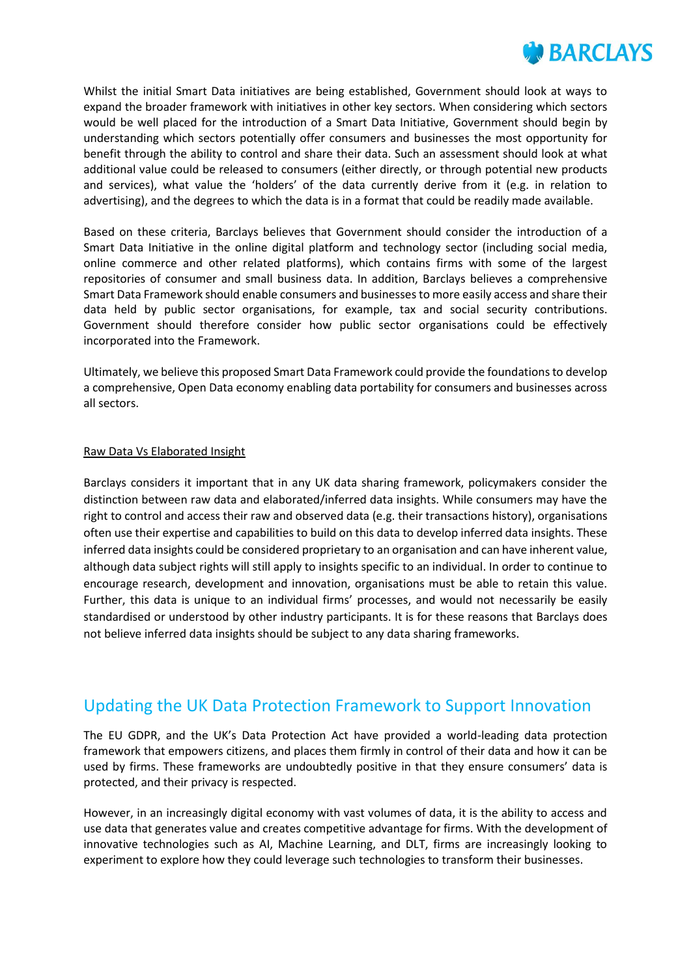

Whilst the initial Smart Data initiatives are being established, Government should look at ways to expand the broader framework with initiatives in other key sectors. When considering which sectors would be well placed for the introduction of a Smart Data Initiative, Government should begin by understanding which sectors potentially offer consumers and businesses the most opportunity for benefit through the ability to control and share their data. Such an assessment should look at what additional value could be released to consumers (either directly, or through potential new products and services), what value the 'holders' of the data currently derive from it (e.g. in relation to advertising), and the degrees to which the data is in a format that could be readily made available.

Based on these criteria, Barclays believes that Government should consider the introduction of a Smart Data Initiative in the online digital platform and technology sector (including social media, online commerce and other related platforms), which contains firms with some of the largest repositories of consumer and small business data. In addition, Barclays believes a comprehensive Smart Data Framework should enable consumers and businesses to more easily access and share their data held by public sector organisations, for example, tax and social security contributions. Government should therefore consider how public sector organisations could be effectively incorporated into the Framework.

Ultimately, we believe this proposed Smart Data Framework could provide the foundations to develop a comprehensive, Open Data economy enabling data portability for consumers and businesses across all sectors.

#### Raw Data Vs Elaborated Insight

Barclays considers it important that in any UK data sharing framework, policymakers consider the distinction between raw data and elaborated/inferred data insights. While consumers may have the right to control and access their raw and observed data (e.g. their transactions history), organisations often use their expertise and capabilities to build on this data to develop inferred data insights. These inferred data insights could be considered proprietary to an organisation and can have inherent value, although data subject rights will still apply to insights specific to an individual. In order to continue to encourage research, development and innovation, organisations must be able to retain this value. Further, this data is unique to an individual firms' processes, and would not necessarily be easily standardised or understood by other industry participants. It is for these reasons that Barclays does not believe inferred data insights should be subject to any data sharing frameworks.

### Updating the UK Data Protection Framework to Support Innovation

The EU GDPR, and the UK's Data Protection Act have provided a world-leading data protection framework that empowers citizens, and places them firmly in control of their data and how it can be used by firms. These frameworks are undoubtedly positive in that they ensure consumers' data is protected, and their privacy is respected.

However, in an increasingly digital economy with vast volumes of data, it is the ability to access and use data that generates value and creates competitive advantage for firms. With the development of innovative technologies such as AI, Machine Learning, and DLT, firms are increasingly looking to experiment to explore how they could leverage such technologies to transform their businesses.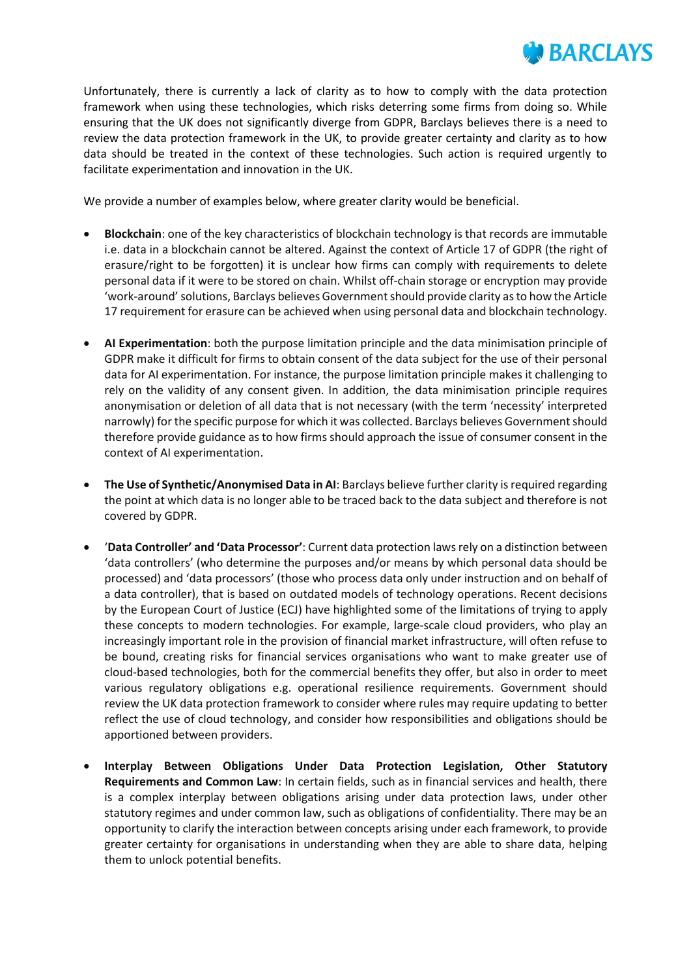

Unfortunately, there is currently a lack of clarity as to how to comply with the data protection framework when using these technologies, which risks deterring some firms from doing so. While ensuring that the UK does not significantly diverge from GDPR, Barclays believes there is a need to review the data protection framework in the UK, to provide greater certainty and clarity as to how data should be treated in the context of these technologies. Such action is required urgently to facilitate experimentation and innovation in the UK.

We provide a number of examples below, where greater clarity would be beneficial.

- **Blockchain**: one of the key characteristics of blockchain technology is that records are immutable i.e. data in a blockchain cannot be altered. Against the context of Article 17 of GDPR (the right of erasure/right to be forgotten) it is unclear how firms can comply with requirements to delete personal data if it were to be stored on chain. Whilst off-chain storage or encryption may provide 'work-around'solutions, Barclays believes Government should provide clarity as to how the Article 17 requirement for erasure can be achieved when using personal data and blockchain technology.
- **AI Experimentation**: both the purpose limitation principle and the data minimisation principle of GDPR make it difficult for firms to obtain consent of the data subject for the use of their personal data for AI experimentation. For instance, the purpose limitation principle makes it challenging to rely on the validity of any consent given. In addition, the data minimisation principle requires anonymisation or deletion of all data that is not necessary (with the term 'necessity' interpreted narrowly) for the specific purpose for which it was collected. Barclays believes Government should therefore provide guidance as to how firms should approach the issue of consumer consent in the context of AI experimentation.
- **The Use of Synthetic/Anonymised Data in AI**: Barclays believe further clarity is required regarding the point at which data is no longer able to be traced back to the data subject and therefore is not covered by GDPR.
- '**Data Controller' and 'Data Processor'**: Current data protection laws rely on a distinction between 'data controllers' (who determine the purposes and/or means by which personal data should be processed) and 'data processors' (those who process data only under instruction and on behalf of a data controller), that is based on outdated models of technology operations. Recent decisions by the European Court of Justice (ECJ) have highlighted some of the limitations of trying to apply these concepts to modern technologies. For example, large-scale cloud providers, who play an increasingly important role in the provision of financial market infrastructure, will often refuse to be bound, creating risks for financial services organisations who want to make greater use of cloud-based technologies, both for the commercial benefits they offer, but also in order to meet various regulatory obligations e.g. operational resilience requirements. Government should review the UK data protection framework to consider where rules may require updating to better reflect the use of cloud technology, and consider how responsibilities and obligations should be apportioned between providers.
- **Interplay Between Obligations Under Data Protection Legislation, Other Statutory Requirements and Common Law**: In certain fields, such as in financial services and health, there is a complex interplay between obligations arising under data protection laws, under other statutory regimes and under common law, such as obligations of confidentiality. There may be an opportunity to clarify the interaction between concepts arising under each framework, to provide greater certainty for organisations in understanding when they are able to share data, helping them to unlock potential benefits.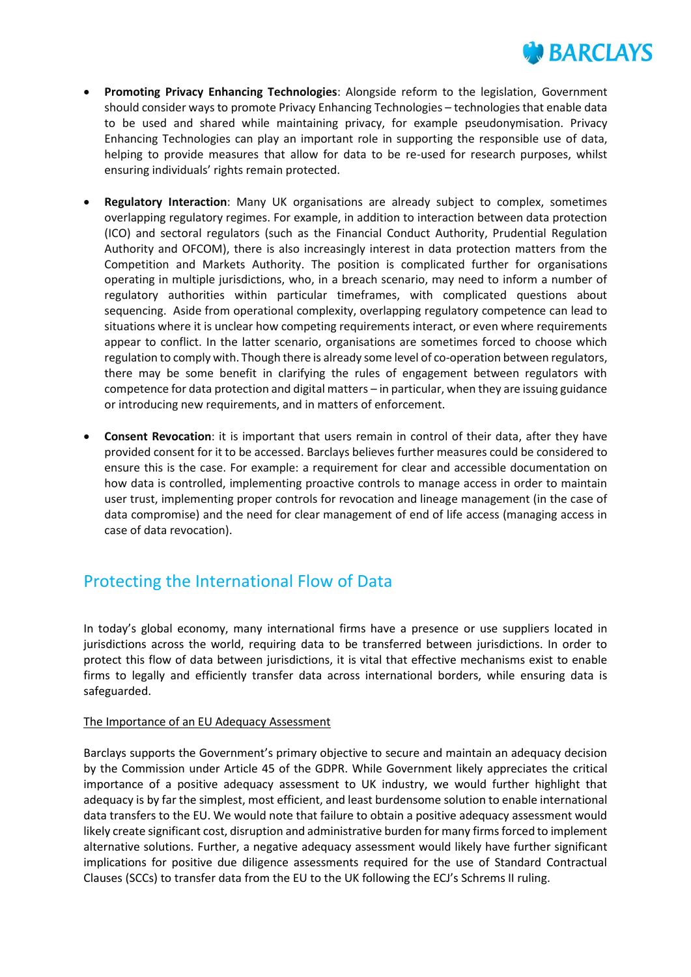

- **Promoting Privacy Enhancing Technologies**: Alongside reform to the legislation, Government should consider ways to promote Privacy Enhancing Technologies – technologies that enable data to be used and shared while maintaining privacy, for example pseudonymisation. Privacy Enhancing Technologies can play an important role in supporting the responsible use of data, helping to provide measures that allow for data to be re-used for research purposes, whilst ensuring individuals' rights remain protected.
- **Regulatory Interaction**: Many UK organisations are already subject to complex, sometimes overlapping regulatory regimes. For example, in addition to interaction between data protection (ICO) and sectoral regulators (such as the Financial Conduct Authority, Prudential Regulation Authority and OFCOM), there is also increasingly interest in data protection matters from the Competition and Markets Authority. The position is complicated further for organisations operating in multiple jurisdictions, who, in a breach scenario, may need to inform a number of regulatory authorities within particular timeframes, with complicated questions about sequencing. Aside from operational complexity, overlapping regulatory competence can lead to situations where it is unclear how competing requirements interact, or even where requirements appear to conflict. In the latter scenario, organisations are sometimes forced to choose which regulation to comply with. Though there is already some level of co-operation between regulators, there may be some benefit in clarifying the rules of engagement between regulators with competence for data protection and digital matters – in particular, when they are issuing guidance or introducing new requirements, and in matters of enforcement.
- **Consent Revocation**: it is important that users remain in control of their data, after they have provided consent for it to be accessed. Barclays believes further measures could be considered to ensure this is the case. For example: a requirement for clear and accessible documentation on how data is controlled, implementing proactive controls to manage access in order to maintain user trust, implementing proper controls for revocation and lineage management (in the case of data compromise) and the need for clear management of end of life access (managing access in case of data revocation).

## Protecting the International Flow of Data

In today's global economy, many international firms have a presence or use suppliers located in jurisdictions across the world, requiring data to be transferred between jurisdictions. In order to protect this flow of data between jurisdictions, it is vital that effective mechanisms exist to enable firms to legally and efficiently transfer data across international borders, while ensuring data is safeguarded.

### The Importance of an EU Adequacy Assessment

Barclays supports the Government's primary objective to secure and maintain an adequacy decision by the Commission under Article 45 of the GDPR. While Government likely appreciates the critical importance of a positive adequacy assessment to UK industry, we would further highlight that adequacy is by far the simplest, most efficient, and least burdensome solution to enable international data transfers to the EU. We would note that failure to obtain a positive adequacy assessment would likely create significant cost, disruption and administrative burden for many firms forced to implement alternative solutions. Further, a negative adequacy assessment would likely have further significant implications for positive due diligence assessments required for the use of Standard Contractual Clauses (SCCs) to transfer data from the EU to the UK following the ECJ's Schrems II ruling.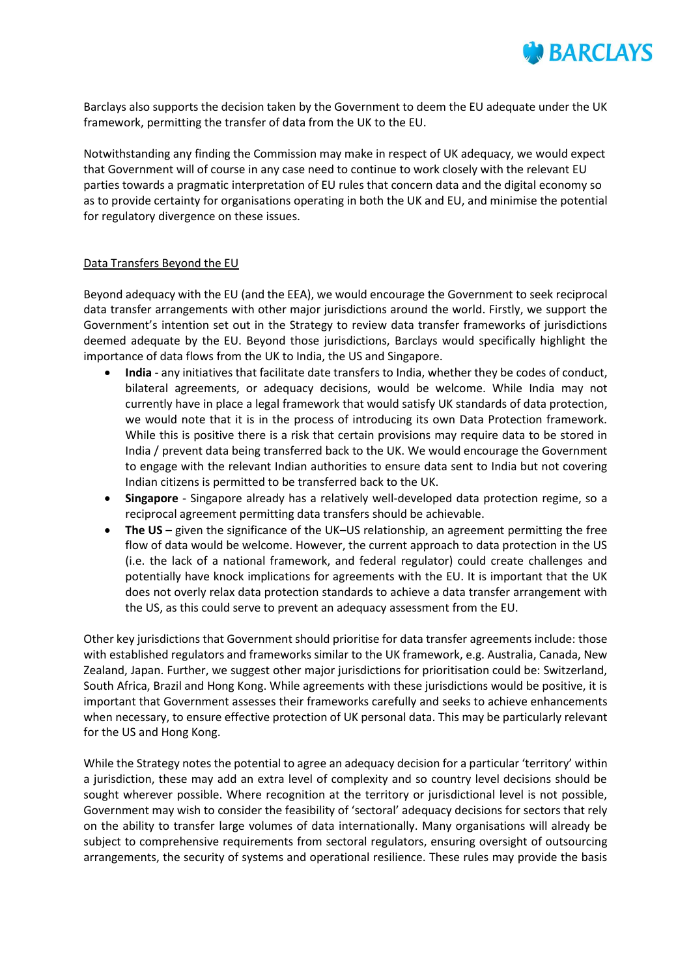

Barclays also supports the decision taken by the Government to deem the EU adequate under the UK framework, permitting the transfer of data from the UK to the EU.

Notwithstanding any finding the Commission may make in respect of UK adequacy, we would expect that Government will of course in any case need to continue to work closely with the relevant EU parties towards a pragmatic interpretation of EU rules that concern data and the digital economy so as to provide certainty for organisations operating in both the UK and EU, and minimise the potential for regulatory divergence on these issues.

#### Data Transfers Beyond the EU

Beyond adequacy with the EU (and the EEA), we would encourage the Government to seek reciprocal data transfer arrangements with other major jurisdictions around the world. Firstly, we support the Government's intention set out in the Strategy to review data transfer frameworks of jurisdictions deemed adequate by the EU. Beyond those jurisdictions, Barclays would specifically highlight the importance of data flows from the UK to India, the US and Singapore.

- **India** any initiatives that facilitate date transfers to India, whether they be codes of conduct, bilateral agreements, or adequacy decisions, would be welcome. While India may not currently have in place a legal framework that would satisfy UK standards of data protection, we would note that it is in the process of introducing its own Data Protection framework. While this is positive there is a risk that certain provisions may require data to be stored in India / prevent data being transferred back to the UK. We would encourage the Government to engage with the relevant Indian authorities to ensure data sent to India but not covering Indian citizens is permitted to be transferred back to the UK.
- **Singapore** Singapore already has a relatively well-developed data protection regime, so a reciprocal agreement permitting data transfers should be achievable.
- **The US**  given the significance of the UK–US relationship, an agreement permitting the free flow of data would be welcome. However, the current approach to data protection in the US (i.e. the lack of a national framework, and federal regulator) could create challenges and potentially have knock implications for agreements with the EU. It is important that the UK does not overly relax data protection standards to achieve a data transfer arrangement with the US, as this could serve to prevent an adequacy assessment from the EU.

Other key jurisdictions that Government should prioritise for data transfer agreements include: those with established regulators and frameworks similar to the UK framework, e.g. Australia, Canada, New Zealand, Japan. Further, we suggest other major jurisdictions for prioritisation could be: Switzerland, South Africa, Brazil and Hong Kong. While agreements with these jurisdictions would be positive, it is important that Government assesses their frameworks carefully and seeks to achieve enhancements when necessary, to ensure effective protection of UK personal data. This may be particularly relevant for the US and Hong Kong.

While the Strategy notes the potential to agree an adequacy decision for a particular 'territory' within a jurisdiction, these may add an extra level of complexity and so country level decisions should be sought wherever possible. Where recognition at the territory or jurisdictional level is not possible, Government may wish to consider the feasibility of 'sectoral' adequacy decisions for sectors that rely on the ability to transfer large volumes of data internationally. Many organisations will already be subject to comprehensive requirements from sectoral regulators, ensuring oversight of outsourcing arrangements, the security of systems and operational resilience. These rules may provide the basis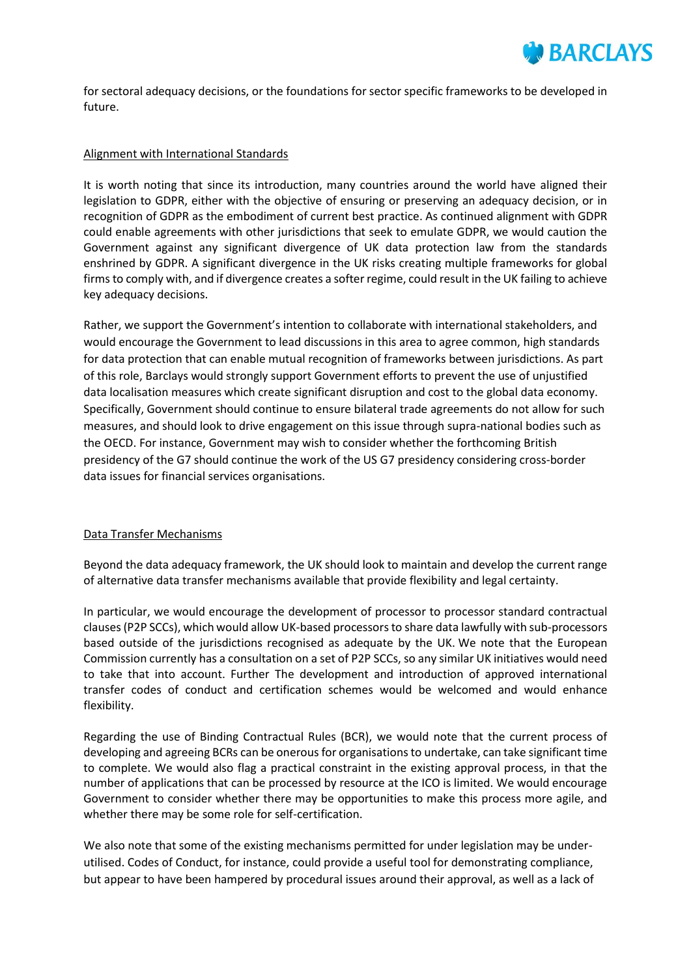

for sectoral adequacy decisions, or the foundations for sector specific frameworks to be developed in future.

### Alignment with International Standards

It is worth noting that since its introduction, many countries around the world have aligned their legislation to GDPR, either with the objective of ensuring or preserving an adequacy decision, or in recognition of GDPR as the embodiment of current best practice. As continued alignment with GDPR could enable agreements with other jurisdictions that seek to emulate GDPR, we would caution the Government against any significant divergence of UK data protection law from the standards enshrined by GDPR. A significant divergence in the UK risks creating multiple frameworks for global firms to comply with, and if divergence creates a softer regime, could result in the UK failing to achieve key adequacy decisions.

Rather, we support the Government's intention to collaborate with international stakeholders, and would encourage the Government to lead discussions in this area to agree common, high standards for data protection that can enable mutual recognition of frameworks between jurisdictions. As part of this role, Barclays would strongly support Government efforts to prevent the use of unjustified data localisation measures which create significant disruption and cost to the global data economy. Specifically, Government should continue to ensure bilateral trade agreements do not allow for such measures, and should look to drive engagement on this issue through supra-national bodies such as the OECD. For instance, Government may wish to consider whether the forthcoming British presidency of the G7 should continue the work of the US G7 presidency considering cross-border data issues for financial services organisations.

### Data Transfer Mechanisms

Beyond the data adequacy framework, the UK should look to maintain and develop the current range of alternative data transfer mechanisms available that provide flexibility and legal certainty.

In particular, we would encourage the development of processor to processor standard contractual clauses (P2P SCCs), which would allow UK-based processors to share data lawfully with sub-processors based outside of the jurisdictions recognised as adequate by the UK. We note that the European Commission currently has a consultation on a set of P2P SCCs, so any similar UK initiatives would need to take that into account. Further The development and introduction of approved international transfer codes of conduct and certification schemes would be welcomed and would enhance flexibility.

Regarding the use of Binding Contractual Rules (BCR), we would note that the current process of developing and agreeing BCRs can be onerous for organisations to undertake, can take significant time to complete. We would also flag a practical constraint in the existing approval process, in that the number of applications that can be processed by resource at the ICO is limited. We would encourage Government to consider whether there may be opportunities to make this process more agile, and whether there may be some role for self-certification.

We also note that some of the existing mechanisms permitted for under legislation may be underutilised. Codes of Conduct, for instance, could provide a useful tool for demonstrating compliance, but appear to have been hampered by procedural issues around their approval, as well as a lack of